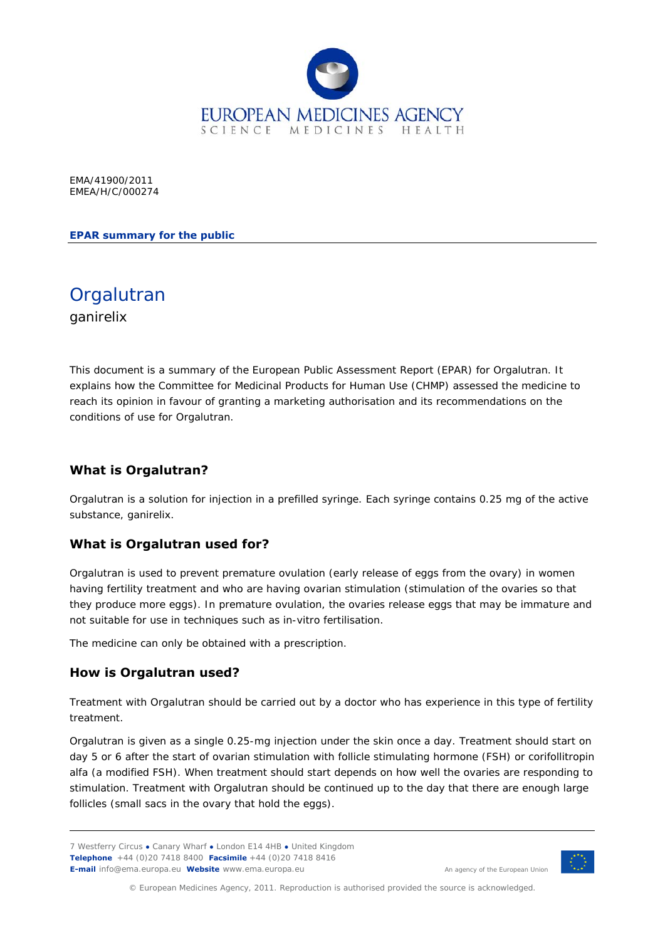

EMA/41900/2011 EMEA/H/C/000274

**EPAR summary for the public** 

**Orgalutran** ganirelix

This document is a summary of the European Public Assessment Report (EPAR) for Orgalutran. It explains how the Committee for Medicinal Products for Human Use (CHMP) assessed the medicine to reach its opinion in favour of granting a marketing authorisation and its recommendations on the conditions of use for Orgalutran.

## **What is Orgalutran?**

Orgalutran is a solution for injection in a prefilled syringe. Each syringe contains 0.25 mg of the active substance, ganirelix.

#### **What is Orgalutran used for?**

Orgalutran is used to prevent premature ovulation (early release of eggs from the ovary) in women having fertility treatment and who are having ovarian stimulation (stimulation of the ovaries so that they produce more eggs). In premature ovulation, the ovaries release eggs that may be immature and not suitable for use in techniques such as *in-vitro* fertilisation.

The medicine can only be obtained with a prescription.

#### **How is Orgalutran used?**

Treatment with Orgalutran should be carried out by a doctor who has experience in this type of fertility treatment.

Orgalutran is given as a single 0.25-mg injection under the skin once a day. Treatment should start on day 5 or 6 after the start of ovarian stimulation with follicle stimulating hormone (FSH) or corifollitropin alfa (a modified FSH). When treatment should start depends on how well the ovaries are responding to stimulation. Treatment with Orgalutran should be continued up to the day that there are enough large follicles (small sacs in the ovary that hold the eggs).

<sup>7</sup> Westferry Circus **●** Canary Wharf **●** London E14 4HB **●** United Kingdom **Telephone** +44 (0)20 7418 8400 **Facsimile** +44 (0)20 7418 8416 **E-mail** info@ema.europa.eu **Website** www.ema.europa.eu <br> **E-mail** info@ema.europa.eu **Website** www.ema.europa.eu



© European Medicines Agency, 2011. Reproduction is authorised provided the source is acknowledged.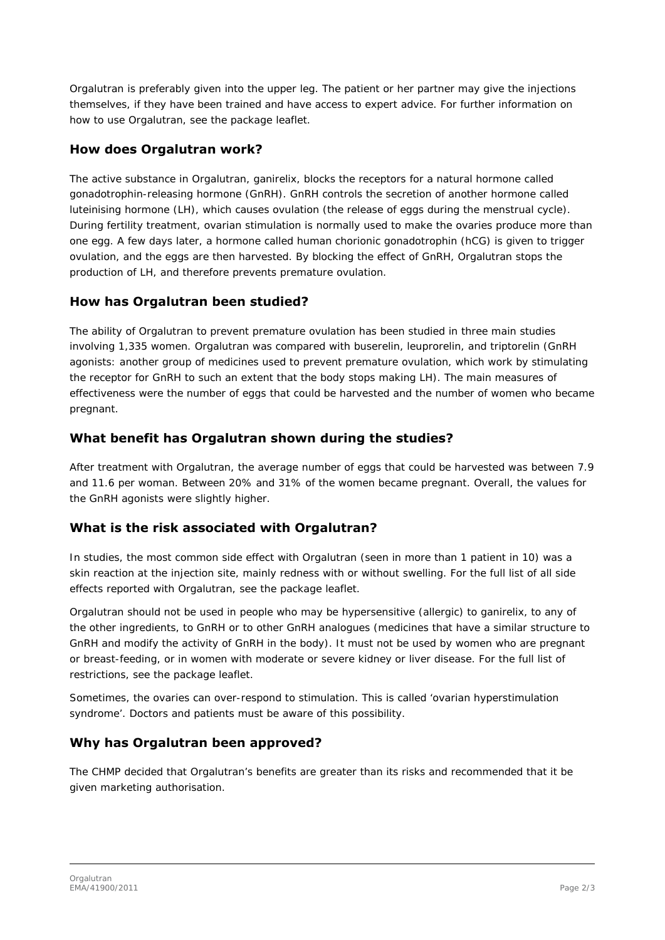Orgalutran is preferably given into the upper leg. The patient or her partner may give the injections themselves, if they have been trained and have access to expert advice. For further information on how to use Orgalutran, see the package leaflet.

## **How does Orgalutran work?**

The active substance in Orgalutran, ganirelix, blocks the receptors for a natural hormone called gonadotrophin-releasing hormone (GnRH). GnRH controls the secretion of another hormone called luteinising hormone (LH), which causes ovulation (the release of eggs during the menstrual cycle). During fertility treatment, ovarian stimulation is normally used to make the ovaries produce more than one egg. A few days later, a hormone called human chorionic gonadotrophin (hCG) is given to trigger ovulation, and the eggs are then harvested. By blocking the effect of GnRH, Orgalutran stops the production of LH, and therefore prevents premature ovulation.

## **How has Orgalutran been studied?**

The ability of Orgalutran to prevent premature ovulation has been studied in three main studies involving 1,335 women. Orgalutran was compared with buserelin, leuprorelin, and triptorelin (GnRH agonists: another group of medicines used to prevent premature ovulation, which work by stimulating the receptor for GnRH to such an extent that the body stops making LH). The main measures of effectiveness were the number of eggs that could be harvested and the number of women who became pregnant.

## **What benefit has Orgalutran shown during the studies?**

After treatment with Orgalutran, the average number of eggs that could be harvested was between 7.9 and 11.6 per woman. Between 20% and 31% of the women became pregnant. Overall, the values for the GnRH agonists were slightly higher.

# **What is the risk associated with Orgalutran?**

In studies, the most common side effect with Orgalutran (seen in more than 1 patient in 10) was a skin reaction at the injection site, mainly redness with or without swelling. For the full list of all side effects reported with Orgalutran, see the package leaflet.

Orgalutran should not be used in people who may be hypersensitive (allergic) to ganirelix, to any of the other ingredients, to GnRH or to other GnRH analogues (medicines that have a similar structure to GnRH and modify the activity of GnRH in the body). It must not be used by women who are pregnant or breast-feeding, or in women with moderate or severe kidney or liver disease. For the full list of restrictions, see the package leaflet.

Sometimes, the ovaries can over-respond to stimulation. This is called 'ovarian hyperstimulation syndrome'. Doctors and patients must be aware of this possibility.

# **Why has Orgalutran been approved?**

The CHMP decided that Orgalutran's benefits are greater than its risks and recommended that it be given marketing authorisation.